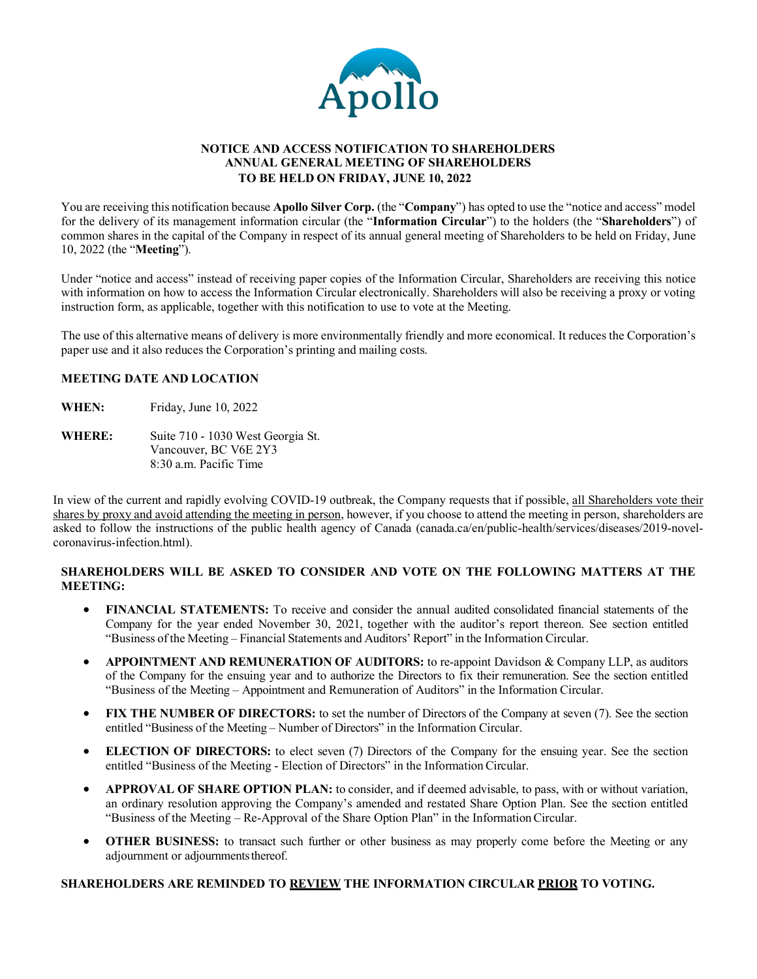

### **NOTICE AND ACCESS NOTIFICATION TO SHAREHOLDERS ANNUAL GENERAL MEETING OF SHAREHOLDERS TO BE HELD ON FRIDAY, JUNE 10, 2022**

You are receiving this notification because **Apollo Silver Corp.** (the "**Company**") has opted to use the "notice and access" model for the delivery of its management information circular (the "**Information Circular**") to the holders (the "**Shareholders**") of common shares in the capital of the Company in respect of its annual general meeting of Shareholders to be held on Friday, June 10, 2022 (the "**Meeting**").

Under "notice and access" instead of receiving paper copies of the Information Circular, Shareholders are receiving this notice with information on how to access the Information Circular electronically. Shareholders will also be receiving a proxy or voting instruction form, as applicable, together with this notification to use to vote at the Meeting.

The use of this alternative means of delivery is more environmentally friendly and more economical. It reduces the Corporation's paper use and it also reduces the Corporation's printing and mailing costs.

### **MEETING DATE AND LOCATION**

- **WHEN:** Friday, June 10, 2022
- **WHERE:** Suite 710 1030 West Georgia St. Vancouver, BC V6E 2Y3 8:30 a.m. Pacific Time

In view of the current and rapidly evolving COVID-19 outbreak, the Company requests that if possible, all Shareholders vote their shares by proxy and avoid attending the meeting in person, however, if you choose to attend the meeting in person, shareholders are asked to follow the instructions of the public health agency of Canada (canada.ca/en/public-health/services/diseases/2019-novelcoronavirus-infection.html).

## **SHAREHOLDERS WILL BE ASKED TO CONSIDER AND VOTE ON THE FOLLOWING MATTERS AT THE MEETING:**

- **FINANCIAL STATEMENTS:** To receive and consider the annual audited consolidated financial statements of the Company for the year ended November 30, 2021, together with the auditor's report thereon. See section entitled "Business of the Meeting – Financial Statements and Auditors' Report" in the Information Circular.
- **APPOINTMENT AND REMUNERATION OF AUDITORS:** to re-appoint Davidson & Company LLP, as auditors of the Company for the ensuing year and to authorize the Directors to fix their remuneration. See the section entitled "Business of the Meeting – Appointment and Remuneration of Auditors" in the Information Circular.
- **FIX THE NUMBER OF DIRECTORS:** to set the number of Directors of the Company at seven (7). See the section entitled "Business of the Meeting – Number of Directors" in the Information Circular.
- **ELECTION OF DIRECTORS:** to elect seven (7) Directors of the Company for the ensuing year. See the section entitled "Business of the Meeting - Election of Directors" in the Information Circular.
- **APPROVAL OF SHARE OPTION PLAN:** to consider, and if deemed advisable, to pass, with or without variation, an ordinary resolution approving the Company's amended and restated Share Option Plan. See the section entitled "Business of the Meeting – Re-Approval of the Share Option Plan" in the InformationCircular.
- **OTHER BUSINESS:** to transact such further or other business as may properly come before the Meeting or any adjournment or adjournments thereof.

### **SHAREHOLDERS ARE REMINDED TO REVIEW THE INFORMATION CIRCULAR PRIOR TO VOTING.**